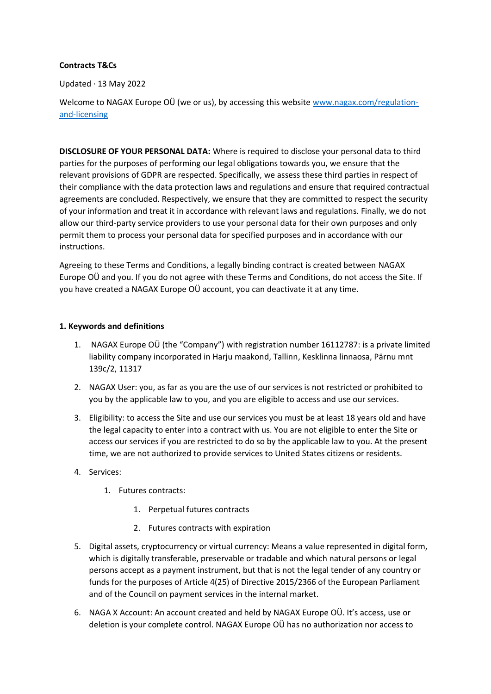### **Contracts T&Cs**

Updated · 13 May 2022

Welcome to NAGAX Europe OÜ (we or us), by accessing this website [www.nagax.com/regulation](http://www.nagax.com/regulation-and-licensing)[and-licensing](http://www.nagax.com/regulation-and-licensing)

**DISCLOSURE OF YOUR PERSONAL DATA:** Where is required to disclose your personal data to third parties for the purposes of performing our legal obligations towards you, we ensure that the relevant provisions of GDPR are respected. Specifically, we assess these third parties in respect of their compliance with the data protection laws and regulations and ensure that required contractual agreements are concluded. Respectively, we ensure that they are committed to respect the security of your information and treat it in accordance with relevant laws and regulations. Finally, we do not allow our third-party service providers to use your personal data for their own purposes and only permit them to process your personal data for specified purposes and in accordance with our instructions.

Agreeing to these Terms and Conditions, a legally binding contract is created between NAGAX Europe OÜ and you. If you do not agree with these Terms and Conditions, do not access the Site. If you have created a NAGAX Europe OÜ account, you can deactivate it at any time.

## **1. Keywords and definitions**

- 1. NAGAX Europe OÜ (the "Company") with registration number 16112787: is a private limited liability company incorporated in Harju maakond, Tallinn, Kesklinna linnaosa, Pärnu mnt 139c/2, 11317
- 2. NAGAX User: you, as far as you are the use of our services is not restricted or prohibited to you by the applicable law to you, and you are eligible to access and use our services.
- 3. Eligibility: to access the Site and use our services you must be at least 18 years old and have the legal capacity to enter into a contract with us. You are not eligible to enter the Site or access our services if you are restricted to do so by the applicable law to you. At the present time, we are not authorized to provide services to United States citizens or residents.
- 4. Services:
	- 1. Futures contracts:
		- 1. Perpetual futures contracts
		- 2. Futures contracts with expiration
- 5. Digital assets, cryptocurrency or virtual currency: Means a value represented in digital form, which is digitally transferable, preservable or tradable and which natural persons or legal persons accept as a payment instrument, but that is not the legal tender of any country or funds for the purposes of Article 4(25) of Directive 2015/2366 of the European Parliament and of the Council on payment services in the internal market.
- 6. NAGA X Account: An account created and held by NAGAX Europe OÜ. It's access, use or deletion is your complete control. NAGAX Europe OÜ has no authorization nor access to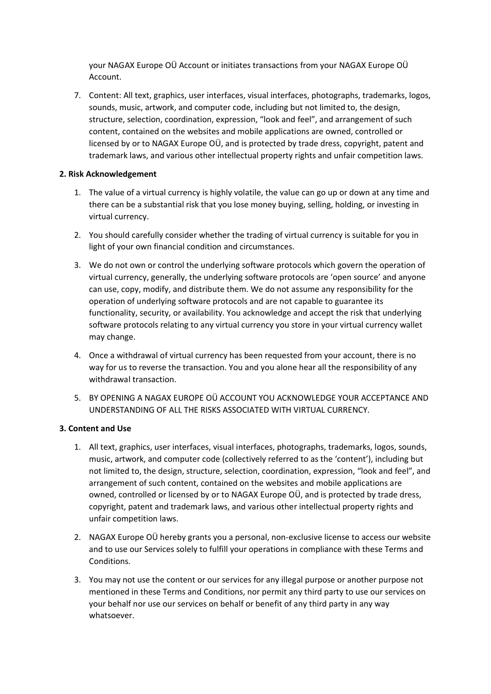your NAGAX Europe OÜ Account or initiates transactions from your NAGAX Europe OÜ Account.

7. Content: All text, graphics, user interfaces, visual interfaces, photographs, trademarks, logos, sounds, music, artwork, and computer code, including but not limited to, the design, structure, selection, coordination, expression, "look and feel", and arrangement of such content, contained on the websites and mobile applications are owned, controlled or licensed by or to NAGAX Europe OÜ, and is protected by trade dress, copyright, patent and trademark laws, and various other intellectual property rights and unfair competition laws.

## **2. Risk Acknowledgement**

- 1. The value of a virtual currency is highly volatile, the value can go up or down at any time and there can be a substantial risk that you lose money buying, selling, holding, or investing in virtual currency.
- 2. You should carefully consider whether the trading of virtual currency is suitable for you in light of your own financial condition and circumstances.
- 3. We do not own or control the underlying software protocols which govern the operation of virtual currency, generally, the underlying software protocols are 'open source' and anyone can use, copy, modify, and distribute them. We do not assume any responsibility for the operation of underlying software protocols and are not capable to guarantee its functionality, security, or availability. You acknowledge and accept the risk that underlying software protocols relating to any virtual currency you store in your virtual currency wallet may change.
- 4. Once a withdrawal of virtual currency has been requested from your account, there is no way for us to reverse the transaction. You and you alone hear all the responsibility of any withdrawal transaction.
- 5. BY OPENING A NAGAX EUROPE OÜ ACCOUNT YOU ACKNOWLEDGE YOUR ACCEPTANCE AND UNDERSTANDING OF ALL THE RISKS ASSOCIATED WITH VIRTUAL CURRENCY.

# **3. Content and Use**

- 1. All text, graphics, user interfaces, visual interfaces, photographs, trademarks, logos, sounds, music, artwork, and computer code (collectively referred to as the 'content'), including but not limited to, the design, structure, selection, coordination, expression, "look and feel", and arrangement of such content, contained on the websites and mobile applications are owned, controlled or licensed by or to NAGAX Europe OÜ, and is protected by trade dress, copyright, patent and trademark laws, and various other intellectual property rights and unfair competition laws.
- 2. NAGAX Europe OÜ hereby grants you a personal, non-exclusive license to access our website and to use our Services solely to fulfill your operations in compliance with these Terms and Conditions.
- 3. You may not use the content or our services for any illegal purpose or another purpose not mentioned in these Terms and Conditions, nor permit any third party to use our services on your behalf nor use our services on behalf or benefit of any third party in any way whatsoever.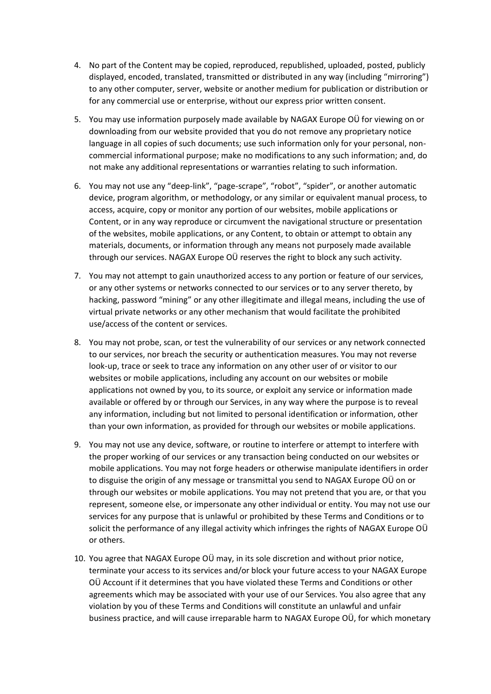- 4. No part of the Content may be copied, reproduced, republished, uploaded, posted, publicly displayed, encoded, translated, transmitted or distributed in any way (including "mirroring") to any other computer, server, website or another medium for publication or distribution or for any commercial use or enterprise, without our express prior written consent.
- 5. You may use information purposely made available by NAGAX Europe OÜ for viewing on or downloading from our website provided that you do not remove any proprietary notice language in all copies of such documents; use such information only for your personal, noncommercial informational purpose; make no modifications to any such information; and, do not make any additional representations or warranties relating to such information.
- 6. You may not use any "deep-link", "page-scrape", "robot", "spider", or another automatic device, program algorithm, or methodology, or any similar or equivalent manual process, to access, acquire, copy or monitor any portion of our websites, mobile applications or Content, or in any way reproduce or circumvent the navigational structure or presentation of the websites, mobile applications, or any Content, to obtain or attempt to obtain any materials, documents, or information through any means not purposely made available through our services. NAGAX Europe OÜ reserves the right to block any such activity.
- 7. You may not attempt to gain unauthorized access to any portion or feature of our services, or any other systems or networks connected to our services or to any server thereto, by hacking, password "mining" or any other illegitimate and illegal means, including the use of virtual private networks or any other mechanism that would facilitate the prohibited use/access of the content or services.
- 8. You may not probe, scan, or test the vulnerability of our services or any network connected to our services, nor breach the security or authentication measures. You may not reverse look-up, trace or seek to trace any information on any other user of or visitor to our websites or mobile applications, including any account on our websites or mobile applications not owned by you, to its source, or exploit any service or information made available or offered by or through our Services, in any way where the purpose is to reveal any information, including but not limited to personal identification or information, other than your own information, as provided for through our websites or mobile applications.
- 9. You may not use any device, software, or routine to interfere or attempt to interfere with the proper working of our services or any transaction being conducted on our websites or mobile applications. You may not forge headers or otherwise manipulate identifiers in order to disguise the origin of any message or transmittal you send to NAGAX Europe OÜ on or through our websites or mobile applications. You may not pretend that you are, or that you represent, someone else, or impersonate any other individual or entity. You may not use our services for any purpose that is unlawful or prohibited by these Terms and Conditions or to solicit the performance of any illegal activity which infringes the rights of NAGAX Europe OÜ or others.
- 10. You agree that NAGAX Europe OÜ may, in its sole discretion and without prior notice, terminate your access to its services and/or block your future access to your NAGAX Europe OÜ Account if it determines that you have violated these Terms and Conditions or other agreements which may be associated with your use of our Services. You also agree that any violation by you of these Terms and Conditions will constitute an unlawful and unfair business practice, and will cause irreparable harm to NAGAX Europe OÜ, for which monetary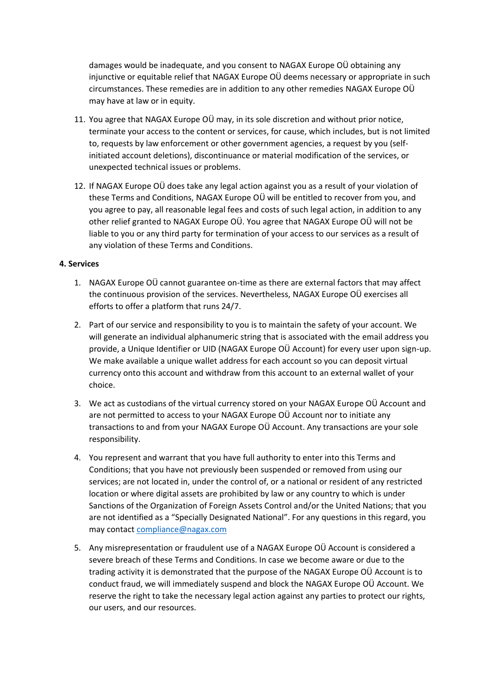damages would be inadequate, and you consent to NAGAX Europe OÜ obtaining any injunctive or equitable relief that NAGAX Europe OÜ deems necessary or appropriate in such circumstances. These remedies are in addition to any other remedies NAGAX Europe OÜ may have at law or in equity.

- 11. You agree that NAGAX Europe OÜ may, in its sole discretion and without prior notice, terminate your access to the content or services, for cause, which includes, but is not limited to, requests by law enforcement or other government agencies, a request by you (selfinitiated account deletions), discontinuance or material modification of the services, or unexpected technical issues or problems.
- 12. If NAGAX Europe OÜ does take any legal action against you as a result of your violation of these Terms and Conditions, NAGAX Europe OÜ will be entitled to recover from you, and you agree to pay, all reasonable legal fees and costs of such legal action, in addition to any other relief granted to NAGAX Europe OÜ. You agree that NAGAX Europe OÜ will not be liable to you or any third party for termination of your access to our services as a result of any violation of these Terms and Conditions.

#### **4. Services**

- 1. NAGAX Europe OÜ cannot guarantee on-time as there are external factors that may affect the continuous provision of the services. Nevertheless, NAGAX Europe OÜ exercises all efforts to offer a platform that runs 24/7.
- 2. Part of our service and responsibility to you is to maintain the safety of your account. We will generate an individual alphanumeric string that is associated with the email address you provide, a Unique Identifier or UID (NAGAX Europe OÜ Account) for every user upon sign-up. We make available a unique wallet address for each account so you can deposit virtual currency onto this account and withdraw from this account to an external wallet of your choice.
- 3. We act as custodians of the virtual currency stored on your NAGAX Europe OÜ Account and are not permitted to access to your NAGAX Europe OÜ Account nor to initiate any transactions to and from your NAGAX Europe OÜ Account. Any transactions are your sole responsibility.
- 4. You represent and warrant that you have full authority to enter into this Terms and Conditions; that you have not previously been suspended or removed from using our services; are not located in, under the control of, or a national or resident of any restricted location or where digital assets are prohibited by law or any country to which is under Sanctions of the Organization of Foreign Assets Control and/or the United Nations; that you are not identified as a "Specially Designated National". For any questions in this regard, you may contact [compliance@nagax.com](mailto:compliance@nagax.com)
- 5. Any misrepresentation or fraudulent use of a NAGAX Europe OÜ Account is considered a severe breach of these Terms and Conditions. In case we become aware or due to the trading activity it is demonstrated that the purpose of the NAGAX Europe OÜ Account is to conduct fraud, we will immediately suspend and block the NAGAX Europe OÜ Account. We reserve the right to take the necessary legal action against any parties to protect our rights, our users, and our resources.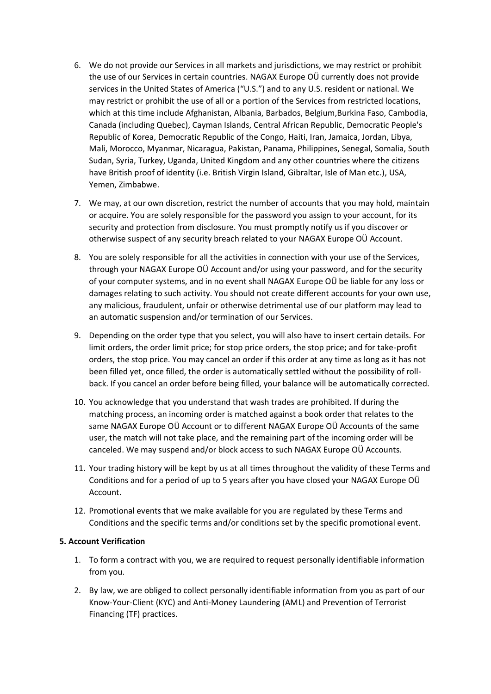- 6. We do not provide our Services in all markets and jurisdictions, we may restrict or prohibit the use of our Services in certain countries. NAGAX Europe OÜ currently does not provide services in the United States of America ("U.S.") and to any U.S. resident or national. We may restrict or prohibit the use of all or a portion of the Services from restricted locations, which at this time include Afghanistan, Albania, Barbados, Belgium,Burkina Faso, Cambodia, Canada (including Quebec), Cayman Islands, Central African Republic, Democratic People's Republic of Korea, Democratic Republic of the Congo, Haiti, Iran, Jamaica, Jordan, Libya, Mali, Morocco, Myanmar, Nicaragua, Pakistan, Panama, Philippines, Senegal, Somalia, South Sudan, Syria, Turkey, Uganda, United Kingdom and any other countries where the citizens have British proof of identity (i.e. British Virgin Island, Gibraltar, Isle of Man etc.), USA, Yemen, Zimbabwe.
- 7. We may, at our own discretion, restrict the number of accounts that you may hold, maintain or acquire. You are solely responsible for the password you assign to your account, for its security and protection from disclosure. You must promptly notify us if you discover or otherwise suspect of any security breach related to your NAGAX Europe OÜ Account.
- 8. You are solely responsible for all the activities in connection with your use of the Services, through your NAGAX Europe OÜ Account and/or using your password, and for the security of your computer systems, and in no event shall NAGAX Europe OÜ be liable for any loss or damages relating to such activity. You should not create different accounts for your own use, any malicious, fraudulent, unfair or otherwise detrimental use of our platform may lead to an automatic suspension and/or termination of our Services.
- 9. Depending on the order type that you select, you will also have to insert certain details. For limit orders, the order limit price; for stop price orders, the stop price; and for take-profit orders, the stop price. You may cancel an order if this order at any time as long as it has not been filled yet, once filled, the order is automatically settled without the possibility of rollback. If you cancel an order before being filled, your balance will be automatically corrected.
- 10. You acknowledge that you understand that wash trades are prohibited. If during the matching process, an incoming order is matched against a book order that relates to the same NAGAX Europe OÜ Account or to different NAGAX Europe OÜ Accounts of the same user, the match will not take place, and the remaining part of the incoming order will be canceled. We may suspend and/or block access to such NAGAX Europe OÜ Accounts.
- 11. Your trading history will be kept by us at all times throughout the validity of these Terms and Conditions and for a period of up to 5 years after you have closed your NAGAX Europe OÜ Account.
- 12. Promotional events that we make available for you are regulated by these Terms and Conditions and the specific terms and/or conditions set by the specific promotional event.

#### **5. Account Verification**

- 1. To form a contract with you, we are required to request personally identifiable information from you.
- 2. By law, we are obliged to collect personally identifiable information from you as part of our Know-Your-Client (KYC) and Anti-Money Laundering (AML) and Prevention of Terrorist Financing (TF) practices.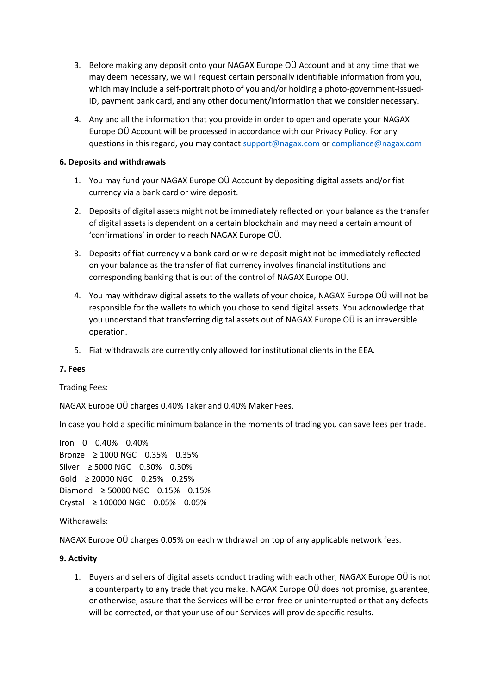- 3. Before making any deposit onto your NAGAX Europe OÜ Account and at any time that we may deem necessary, we will request certain personally identifiable information from you, which may include a self-portrait photo of you and/or holding a photo-government-issued-ID, payment bank card, and any other document/information that we consider necessary.
- 4. Any and all the information that you provide in order to open and operate your NAGAX Europe OÜ Account will be processed in accordance with our Privacy Policy. For any questions in this regard, you may contact [support@nagax.com](mailto:support@nagax.com) or [compliance@nagax.com](mailto:compliance@nagax.com)

## **6. Deposits and withdrawals**

- 1. You may fund your NAGAX Europe OÜ Account by depositing digital assets and/or fiat currency via a bank card or wire deposit.
- 2. Deposits of digital assets might not be immediately reflected on your balance as the transfer of digital assets is dependent on a certain blockchain and may need a certain amount of 'confirmations' in order to reach NAGAX Europe OÜ.
- 3. Deposits of fiat currency via bank card or wire deposit might not be immediately reflected on your balance as the transfer of fiat currency involves financial institutions and corresponding banking that is out of the control of NAGAX Europe OÜ.
- 4. You may withdraw digital assets to the wallets of your choice, NAGAX Europe OÜ will not be responsible for the wallets to which you chose to send digital assets. You acknowledge that you understand that transferring digital assets out of NAGAX Europe OÜ is an irreversible operation.
- 5. Fiat withdrawals are currently only allowed for institutional clients in the EEA.

#### **7. Fees**

Trading Fees:

NAGAX Europe OÜ charges 0.40% Taker and 0.40% Maker Fees.

In case you hold a specific minimum balance in the moments of trading you can save fees per trade.

Iron 0 0.40% 0.40% Bronze ≥ 1000 NGC 0.35% 0.35% Silver ≥ 5000 NGC 0.30% 0.30% Gold ≥ 20000 NGC 0.25% 0.25% Diamond ≥ 50000 NGC 0.15% 0.15% Crystal ≥ 100000 NGC 0.05% 0.05%

#### Withdrawals:

NAGAX Europe OÜ charges 0.05% on each withdrawal on top of any applicable network fees.

#### **9. Activity**

1. Buyers and sellers of digital assets conduct trading with each other, NAGAX Europe OÜ is not a counterparty to any trade that you make. NAGAX Europe OÜ does not promise, guarantee, or otherwise, assure that the Services will be error-free or uninterrupted or that any defects will be corrected, or that your use of our Services will provide specific results.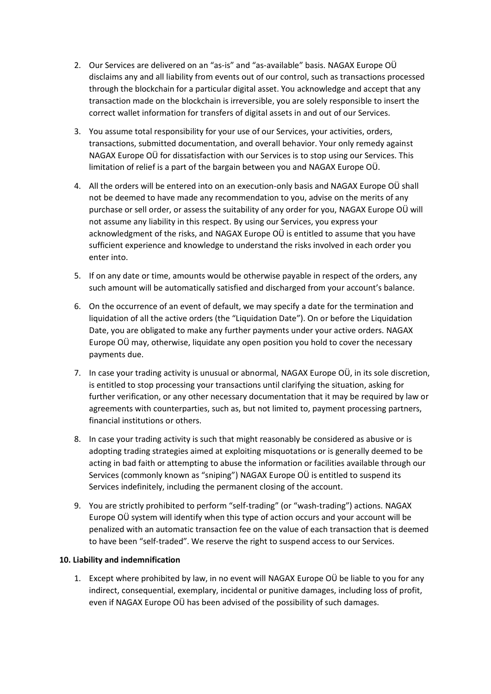- 2. Our Services are delivered on an "as-is" and "as-available" basis. NAGAX Europe OÜ disclaims any and all liability from events out of our control, such as transactions processed through the blockchain for a particular digital asset. You acknowledge and accept that any transaction made on the blockchain is irreversible, you are solely responsible to insert the correct wallet information for transfers of digital assets in and out of our Services.
- 3. You assume total responsibility for your use of our Services, your activities, orders, transactions, submitted documentation, and overall behavior. Your only remedy against NAGAX Europe OÜ for dissatisfaction with our Services is to stop using our Services. This limitation of relief is a part of the bargain between you and NAGAX Europe OÜ.
- 4. All the orders will be entered into on an execution-only basis and NAGAX Europe OÜ shall not be deemed to have made any recommendation to you, advise on the merits of any purchase or sell order, or assess the suitability of any order for you, NAGAX Europe OÜ will not assume any liability in this respect. By using our Services, you express your acknowledgment of the risks, and NAGAX Europe OÜ is entitled to assume that you have sufficient experience and knowledge to understand the risks involved in each order you enter into.
- 5. If on any date or time, amounts would be otherwise payable in respect of the orders, any such amount will be automatically satisfied and discharged from your account's balance.
- 6. On the occurrence of an event of default, we may specify a date for the termination and liquidation of all the active orders (the "Liquidation Date"). On or before the Liquidation Date, you are obligated to make any further payments under your active orders. NAGAX Europe OÜ may, otherwise, liquidate any open position you hold to cover the necessary payments due.
- 7. In case your trading activity is unusual or abnormal, NAGAX Europe OÜ, in its sole discretion, is entitled to stop processing your transactions until clarifying the situation, asking for further verification, or any other necessary documentation that it may be required by law or agreements with counterparties, such as, but not limited to, payment processing partners, financial institutions or others.
- 8. In case your trading activity is such that might reasonably be considered as abusive or is adopting trading strategies aimed at exploiting misquotations or is generally deemed to be acting in bad faith or attempting to abuse the information or facilities available through our Services (commonly known as "sniping") NAGAX Europe OÜ is entitled to suspend its Services indefinitely, including the permanent closing of the account.
- 9. You are strictly prohibited to perform "self-trading" (or "wash-trading") actions. NAGAX Europe OÜ system will identify when this type of action occurs and your account will be penalized with an automatic transaction fee on the value of each transaction that is deemed to have been "self-traded". We reserve the right to suspend access to our Services.

#### **10. Liability and indemnification**

1. Except where prohibited by law, in no event will NAGAX Europe OÜ be liable to you for any indirect, consequential, exemplary, incidental or punitive damages, including loss of profit, even if NAGAX Europe OÜ has been advised of the possibility of such damages.